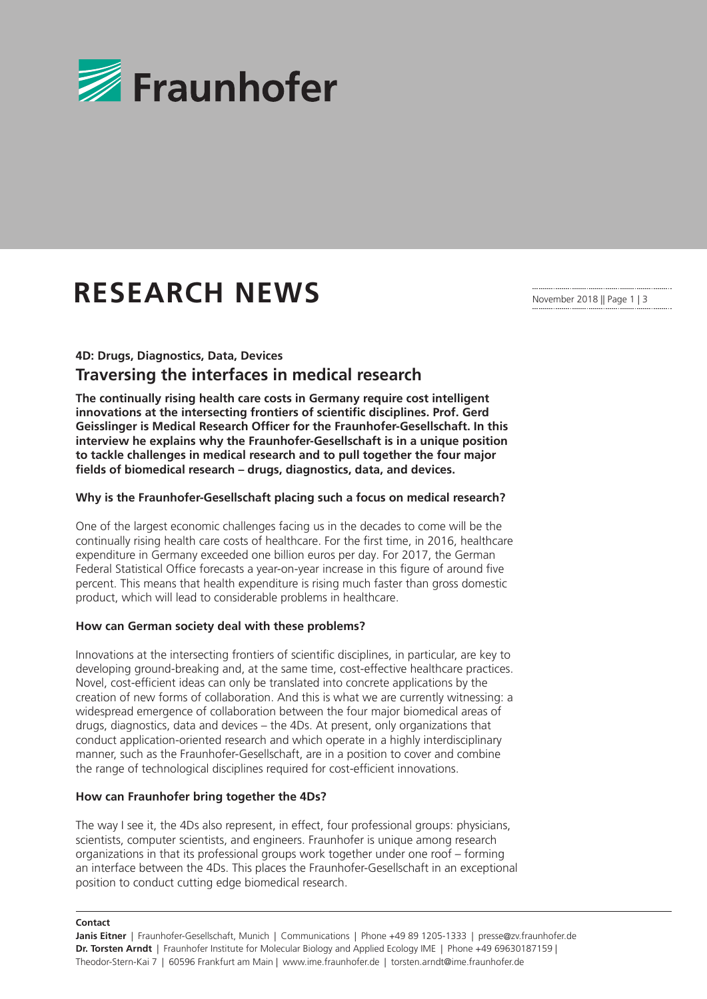

# **RESEARCH NEWS**

November 2018 || Page 1 | 3

### **4D: Drugs, Diagnostics, Data, Devices**

## **Traversing the interfaces in medical research**

**The continually rising health care costs in Germany require cost intelligent innovations at the intersecting frontiers of scientific disciplines. Prof. Gerd Geisslinger is Medical Research Officer for the Fraunhofer-Gesellschaft. In this interview he explains why the Fraunhofer-Gesellschaft is in a unique position to tackle challenges in medical research and to pull together the four major fields of biomedical research – drugs, diagnostics, data, and devices.**

#### **Why is the Fraunhofer-Gesellschaft placing such a focus on medical research?**

One of the largest economic challenges facing us in the decades to come will be the continually rising health care costs of healthcare. For the first time, in 2016, healthcare expenditure in Germany exceeded one billion euros per day. For 2017, the German Federal Statistical Office forecasts a year-on-year increase in this figure of around five percent. This means that health expenditure is rising much faster than gross domestic product, which will lead to considerable problems in healthcare.

#### **How can German society deal with these problems?**

Innovations at the intersecting frontiers of scientific disciplines, in particular, are key to developing ground-breaking and, at the same time, cost-effective healthcare practices. Novel, cost-efficient ideas can only be translated into concrete applications by the creation of new forms of collaboration. And this is what we are currently witnessing: a widespread emergence of collaboration between the four major biomedical areas of drugs, diagnostics, data and devices – the 4Ds. At present, only organizations that conduct application-oriented research and which operate in a highly interdisciplinary manner, such as the Fraunhofer-Gesellschaft, are in a position to cover and combine the range of technological disciplines required for cost-efficient innovations.

#### **How can Fraunhofer bring together the 4Ds?**

The way I see it, the 4Ds also represent, in effect, four professional groups: physicians, scientists, computer scientists, and engineers. Fraunhofer is unique among research organizations in that its professional groups work together under one roof – forming an interface between the 4Ds. This places the Fraunhofer-Gesellschaft in an exceptional position to conduct cutting edge biomedical research.

#### **Contact**

**Janis Eitner** | Fraunhofer-Gesellschaft, Munich | Communications | Phone +49 89 1205-1333 | presse@zv.fraunhofer.de **Dr. Torsten Arndt** | Fraunhofer Institute for Molecular Biology and Applied Ecology IME | Phone +49 69630187159 | Theodor-Stern-Kai 7 | 60596 Frankfurt am Main | www.ime.fraunhofer.de | torsten.arndt@ime.fraunhofer.de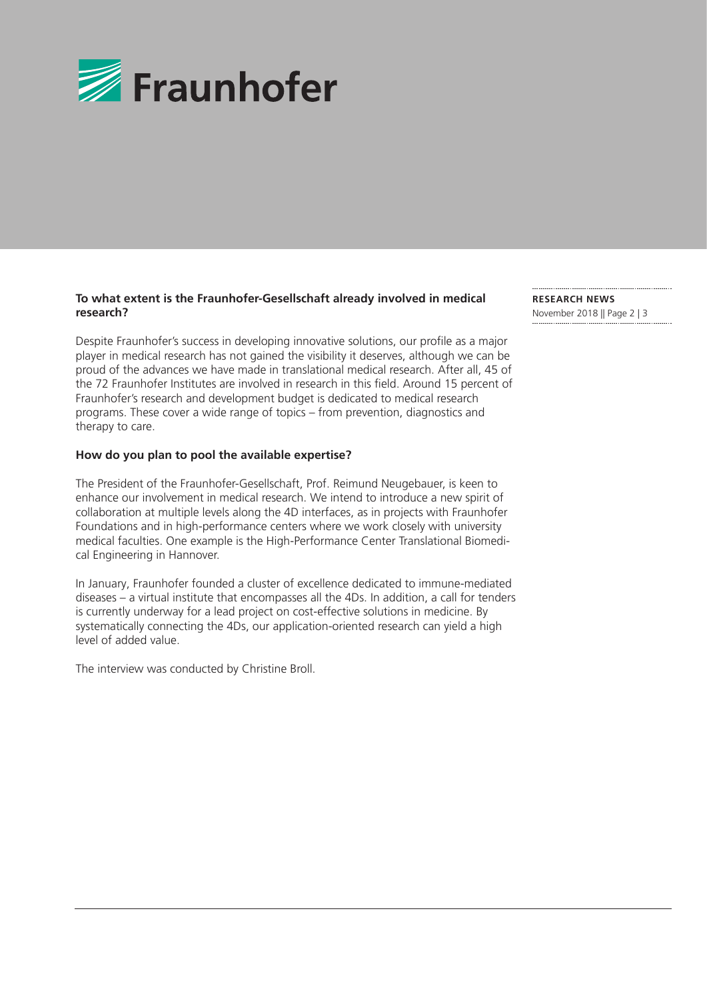

#### **To what extent is the Fraunhofer-Gesellschaft already involved in medical research?**

Despite Fraunhofer's success in developing innovative solutions, our profile as a major player in medical research has not gained the visibility it deserves, although we can be proud of the advances we have made in translational medical research. After all, 45 of the 72 Fraunhofer Institutes are involved in research in this field. Around 15 percent of Fraunhofer's research and development budget is dedicated to medical research programs. These cover a wide range of topics – from prevention, diagnostics and therapy to care.

#### **How do you plan to pool the available expertise?**

The President of the Fraunhofer-Gesellschaft, Prof. Reimund Neugebauer, is keen to enhance our involvement in medical research. We intend to introduce a new spirit of collaboration at multiple levels along the 4D interfaces, as in projects with Fraunhofer Foundations and in high-performance centers where we work closely with university medical faculties. One example is the High-Performance Center Translational Biomedical Engineering in Hannover.

In January, Fraunhofer founded a cluster of excellence dedicated to immune-mediated diseases – a virtual institute that encompasses all the 4Ds. In addition, a call for tenders is currently underway for a lead project on cost-effective solutions in medicine. By systematically connecting the 4Ds, our application-oriented research can yield a high level of added value.

The interview was conducted by Christine Broll.

**RESEARCH NEWS**  November 2018 || Page 2 | 3